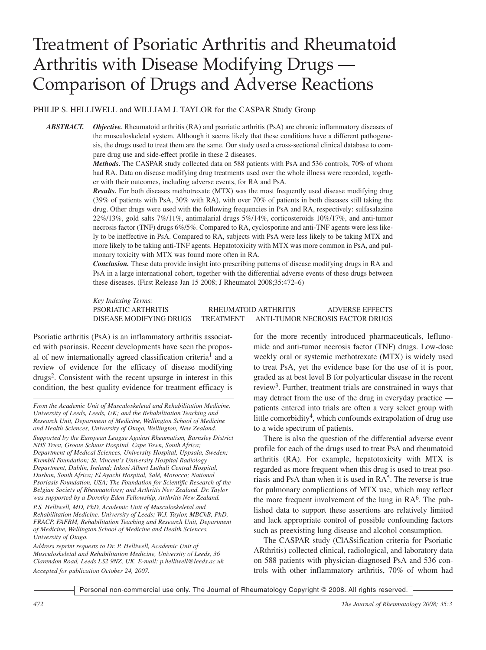# Treatment of Psoriatic Arthritis and Rheumatoid Arthritis with Disease Modifying Drugs — Comparison of Drugs and Adverse Reactions

PHILIP S. HELLIWELL and WILLIAM J. TAYLOR for the CASPAR Study Group

*ABSTRACT. Objective.* Rheumatoid arthritis (RA) and psoriatic arthritis (PsA) are chronic inflammatory diseases of the musculoskeletal system. Although it seems likely that these conditions have a different pathogenesis, the drugs used to treat them are the same. Our study used a cross-sectional clinical database to compare drug use and side-effect profile in these 2 diseases.

> *Methods.* The CASPAR study collected data on 588 patients with PsA and 536 controls, 70% of whom had RA. Data on disease modifying drug treatments used over the whole illness were recorded, together with their outcomes, including adverse events, for RA and PsA.

> *Results.* For both diseases methotrexate (MTX) was the most frequently used disease modifying drug (39% of patients with PsA, 30% with RA), with over 70% of patients in both diseases still taking the drug. Other drugs were used with the following frequencies in PsA and RA, respectively: sulfasalazine 22%/13%, gold salts 7%/11%, antimalarial drugs 5%/14%, corticosteroids 10%/17%, and anti-tumor necrosis factor (TNF) drugs 6%/5%. Compared to RA, cyclosporine and anti-TNF agents were less likely to be ineffective in PsA. Compared to RA, subjects with PsA were less likely to be taking MTX and more likely to be taking anti-TNF agents. Hepatotoxicity with MTX was more common in PsA, and pulmonary toxicity with MTX was found more often in RA.

> *Conclusion.* These data provide insight into prescribing patterns of disease modifying drugs in RA and PsA in a large international cohort, together with the differential adverse events of these drugs between these diseases. (First Release Jan 15 2008; J Rheumatol 2008;35:472–6)

> *Key Indexing Terms:* PSORIATIC ARTHRITIS RHEUMATOID ARTHRITIS ADVERSE EFFECTS DISEASE MODIFYING DRUGS TREATMENT ANTI-TUMOR NECROSIS FACTOR DRUGS

Psoriatic arthritis (PsA) is an inflammatory arthritis associated with psoriasis. Recent developments have seen the proposal of new internationally agreed classification criteria<sup>1</sup> and a review of evidence for the efficacy of disease modifying drugs<sup>2</sup>. Consistent with the recent upsurge in interest in this condition, the best quality evidence for treatment efficacy is

*Supported by the European League Against Rheumatism, Barnsley District NHS Trust, Groote Schuur Hospital, Cape Town, South Africa; Department of Medical Sciences, University Hospital, Uppsala, Sweden; Krembil Foundation; St. Vincent's University Hospital Radiology Department, Dublin, Ireland; Inkosi Albert Luthuli Central Hospital, Durban, South Africa; El Ayachi Hospital, Salé, Morocco; National Psoriasis Foundation, USA; The Foundation for Scientific Research of the Belgian Society of Rheumatology; and Arthritis New Zealand. Dr. Taylor was supported by a Dorothy Eden Fellowship, Arthritis New Zealand.*

*P.S. Helliwell, MD, PhD, Academic Unit of Musculoskeletal and Rehabilitation Medicine, University of Leeds; W.J. Taylor, MBChB, PhD, FRACP, FAFRM, Rehabilitation Teaching and Research Unit, Department of Medicine, Wellington School of Medicine and Health Sciences, University of Otago.*

*Address reprint requests to Dr. P. Helliwell, Academic Unit of Musculoskeletal and Rehabilitation Medicine, University of Leeds, 36 Clarendon Road, Leeds LS2 9NZ, UK. E-mail: p.helliwell@leeds.ac.uk Accepted for publication October 24, 2007.*

for the more recently introduced pharmaceuticals, leflunomide and anti-tumor necrosis factor (TNF) drugs. Low-dose weekly oral or systemic methotrexate (MTX) is widely used to treat PsA, yet the evidence base for the use of it is poor, graded as at best level B for polyarticular disease in the recent review<sup>3</sup>. Further, treatment trials are constrained in ways that may detract from the use of the drug in everyday practice patients entered into trials are often a very select group with little comorbidity<sup>4</sup>, which confounds extrapolation of drug use to a wide spectrum of patients.

There is also the question of the differential adverse event profile for each of the drugs used to treat PsA and rheumatoid arthritis (RA). For example, hepatotoxicity with MTX is regarded as more frequent when this drug is used to treat psoriasis and PsA than when it is used in  $RA<sup>5</sup>$ . The reverse is true for pulmonary complications of MTX use, which may reflect the more frequent involvement of the lung in  $RA<sup>6</sup>$ . The published data to support these assertions are relatively limited and lack appropriate control of possible confounding factors such as preexisting lung disease and alcohol consumption.

The CASPAR study (ClASsification criteria for Psoriatic ARthritis) collected clinical, radiological, and laboratory data on 588 patients with physician-diagnosed PsA and 536 controls with other inflammatory arthritis, 70% of whom had

*From the Academic Unit of Musculoskeletal and Rehabilitation Medicine, University of Leeds, Leeds, UK; and the Rehabilitation Teaching and Research Unit, Department of Medicine, Wellington School of Medicine and Health Sciences, University of Otago, Wellington, New Zealand.*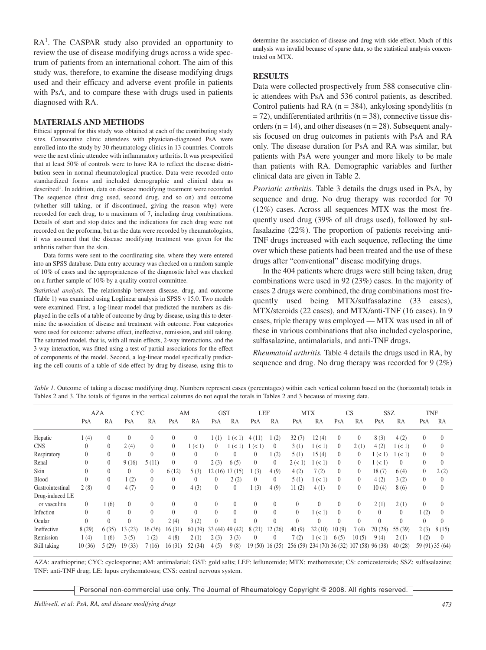RA<sup>1</sup>. The CASPAR study also provided an opportunity to review the use of disease modifying drugs across a wide spectrum of patients from an international cohort. The aim of this study was, therefore, to examine the disease modifying drugs used and their efficacy and adverse event profile in patients with PsA, and to compare these with drugs used in patients diagnosed with RA.

#### **MATERIALS AND METHODS**

Ethical approval for this study was obtained at each of the contributing study sites. Consecutive clinic attendees with physician-diagnosed PsA were enrolled into the study by 30 rheumatology clinics in 13 countries. Controls were the next clinic attendee with inflammatory arthritis. It was prespecified that at least 50% of controls were to have RA to reflect the disease distribution seen in normal rheumatological practice. Data were recorded onto standardized forms and included demographic and clinical data as described<sup>1</sup>. In addition, data on disease modifying treatment were recorded. The sequence (first drug used, second drug, and so on) and outcome (whether still taking, or if discontinued, giving the reason why) were recorded for each drug, to a maximum of 7, including drug combinations. Details of start and stop dates and the indications for each drug were not recorded on the proforma, but as the data were recorded by rheumatologists, it was assumed that the disease modifying treatment was given for the arthritis rather than the skin.

Data forms were sent to the coordinating site, where they were entered into an SPSS database. Data entry accuracy was checked on a random sample of 10% of cases and the appropriateness of the diagnostic label was checked on a further sample of 10% by a quality control committee.

*Statistical analysis.* The relationship between disease, drug, and outcome (Table 1) was examined using Loglinear analysis in SPSS v 15.0. Two models were examined. First, a log-linear model that predicted the numbers as displayed in the cells of a table of outcome by drug by disease, using this to determine the association of disease and treatment with outcome. Four categories were used for outcome: adverse effect, ineffective, remission, and still taking. The saturated model, that is, with all main effects, 2-way interactions, and the 3-way interaction, was fitted using a test of partial associations for the effect of components of the model. Second, a log-linear model specifically predicting the cell counts of a table of side-effect by drug by disease, using this to

determine the association of disease and drug with side-effect. Much of this analysis was invalid because of sparse data, so the statistical analysis concentrated on MTX.

#### **RESULTS**

Data were collected prospectively from 588 consecutive clinic attendees with PsA and 536 control patients, as described. Control patients had RA  $(n = 384)$ , ankylosing spondylitis  $(n = 164)$  $= 72$ ), undifferentiated arthritis (n = 38), connective tissue disorders ( $n = 14$ ), and other diseases ( $n = 28$ ). Subsequent analysis focused on drug outcomes in patients with PsA and RA only. The disease duration for PsA and RA was similar, but patients with PsA were younger and more likely to be male than patients with RA. Demographic variables and further clinical data are given in Table 2.

*Psoriatic arthritis.* Table 3 details the drugs used in PsA, by sequence and drug. No drug therapy was recorded for 70 (12%) cases. Across all sequences MTX was the most frequently used drug (39% of all drugs used), followed by sulfasalazine (22%). The proportion of patients receiving anti-TNF drugs increased with each sequence, reflecting the time over which these patients had been treated and the use of these drugs after "conventional" disease modifying drugs.

In the 404 patients where drugs were still being taken, drug combinations were used in 92 (23%) cases. In the majority of cases 2 drugs were combined, the drug combinations most frequently used being MTX/sulfasalazine (33 cases), MTX/steroids (22 cases), and MTX/anti-TNF (16 cases). In 9 cases, triple therapy was employed — MTX was used in all of these in various combinations that also included cyclosporine, sulfasalazine, antimalarials, and anti-TNF drugs.

*Rheumatoid arthritis.* Table 4 details the drugs used in RA, by sequence and drug. No drug therapy was recorded for 9 (2%)

*Table 1.* Outcome of taking a disease modifying drug. Numbers represent cases (percentages) within each vertical column based on the (horizontal) totals in Tables 2 and 3. The totals of figures in the vertical columns do not equal the totals in Tables 2 and 3 because of missing data.

|                  | <b>AZA</b> |          | <b>CYC</b>   |              | AM             |          | <b>GST</b>     |                | LEF            |                | <b>MTX</b> |                                    | CS             |                | <b>SSZ</b> |          | <b>TNF</b>     |                 |
|------------------|------------|----------|--------------|--------------|----------------|----------|----------------|----------------|----------------|----------------|------------|------------------------------------|----------------|----------------|------------|----------|----------------|-----------------|
|                  | PsA        | RA       | PsA          | RA           | PsA            | RA       | PsA            | RA             | PsA            | RA             | PsA        | RA                                 | PsA            | RA             | PsA        | RA       | PsA            | RA              |
| Hepatic          | 1(4)       | $\theta$ | $\theta$     | $\theta$     | $\theta$       | $\theta$ | (1)            | (< 1)          | 4(11)          | (2)            | 32(7)      | 12(4)                              | $\theta$       | $\overline{0}$ | 8(3)       | 4(2)     | $\theta$       | $\Omega$        |
| <b>CNS</b>       | $\theta$   | $\theta$ | 2(4)         | $\Omega$     | $\overline{0}$ | 1 (< 1)  | $\theta$       | (< 1)          | (< 1)          | $\Omega$       | 3(1)       | 1 (< 1)                            | $\overline{0}$ | 2(1)           | 4(2)       | (< 1)    | $\theta$       |                 |
| Respiratory      | $\theta$   | $\theta$ | $\Omega$     | $\theta$     | $\Omega$       | $\Omega$ | $\Omega$       | $\theta$       | $\overline{0}$ | (2)            | 5(1)       | 15(4)                              | $\overline{0}$ | $\overline{0}$ | 1 (< 1)    | (< 1)    | $\overline{0}$ | $\Omega$        |
| Renal            | $\theta$   | $\theta$ | 9(16)        | 5(11)        | $\Omega$       | $\Omega$ | 2(3)           | 6(5)           | $\theta$       | $\Omega$       | 2 (< 1)    | 1 (< 1)                            | $\theta$       | $\overline{0}$ | 1 (< 1)    | $\theta$ | $\theta$       | $\Omega$        |
| Skin             | $\Omega$   | $\theta$ | $\theta$     | $\Omega$     | 6(12)          | 5(3)     | 12 (16)        | 17(15)         | 1(3)           | 4(9)           | 4(2)       | 7(2)                               | $\theta$       | $\overline{0}$ | 18(7)      | 6(4)     | $\overline{0}$ | 2(2)            |
| Blood            | $\theta$   | $\theta$ | 1(2)         | $\Omega$     | $\Omega$       | $\theta$ | $\overline{0}$ | 2(2)           | $\Omega$       | $\Omega$       | 5(1)       | 1 (< 1)                            | $\theta$       | $\overline{0}$ | 4(2)       | 3(2)     | $\theta$       | $\Omega$        |
| Gastrointestinal | 2(8)       | $\theta$ | 4(7)         | $\theta$     | $\Omega$       | 4(3)     | $\theta$       | $\overline{0}$ | 1(3)           | 4(9)           | 11(2)      | 4(1)                               | $\Omega$       | $\overline{0}$ | 10(4)      | 8(6)     | $\theta$       | $\theta$        |
| Drug-induced LE  |            |          |              |              |                |          |                |                |                |                |            |                                    |                |                |            |          |                |                 |
| or vasculitis    | $\theta$   | (6)      | $\theta$     | $\theta$     | $\Omega$       | $\theta$ | $\theta$       | $\theta$       | $\Omega$       | $\theta$       | $\theta$   | $\theta$                           | $\Omega$       | $\overline{0}$ | 2(1)       | 2(1)     | $\overline{0}$ |                 |
| Infection        | $\theta$   | $\theta$ | $\theta$     | $\theta$     | $\Omega$       | $\Omega$ | $\theta$       | $\Omega$       | $\Omega$       | $\theta$       | $\theta$   | 1 (< 1)                            | $\Omega$       | $\theta$       | $\theta$   | $\Omega$ | (2)            | $\Omega$        |
| Ocular           | $\theta$   | $\theta$ | $\mathbf{0}$ | $\mathbf{0}$ | 2(4)           | 3(2)     | $\Omega$       | $\theta$       | $\theta$       | $\theta$       | $\theta$   | $\theta$                           | $\Omega$       | $\theta$       | $\theta$   | $\theta$ | $\theta$       | $\Omega$        |
| Ineffective      | 8(29)      | 6(35)    | 13(23)       | 16(36)       | 16(31)         | 60(39)   | 33(44)         | 49 (42)        | 8(21)          | 12(26)         | 40(9)      | 32(10)                             | 10(9)          | 7(4)           | 70(28)     | 55 (39)  | 2(3)           | 8(15)           |
| Remission        | 1(4)       | 1(6)     | 3(5)         | 1(2)         | 4(8)           | 2(1)     | 2(3)           | 3(3)           | $\overline{0}$ | $\overline{0}$ | 7(2)       | 1 (< 1)                            | 6(5)           | 10(5)          | 9(4)       | 2(1)     | 1(2)           | $\left($        |
| Still taking     | 10(36)     | 5(29)    | 19(33)       | 7(16)        | 16(31)         | 52(34)   | 4(5)           | 9(8)           | 19(50) 16(35)  |                |            | 256 (59) 234 (70) 36 (32) 107 (58) |                |                | 96 (38)    | 40(28)   |                | 59 (91) 35 (64) |

AZA: azathioprine; CYC: cyclosporine; AM: antimalarial; GST: gold salts; LEF: leflunomide; MTX: methotrexate; CS: corticosteroids; SSZ: sulfasalazine; TNF: anti-TNF drug; LE: lupus erythematosus; CNS: central nervous system.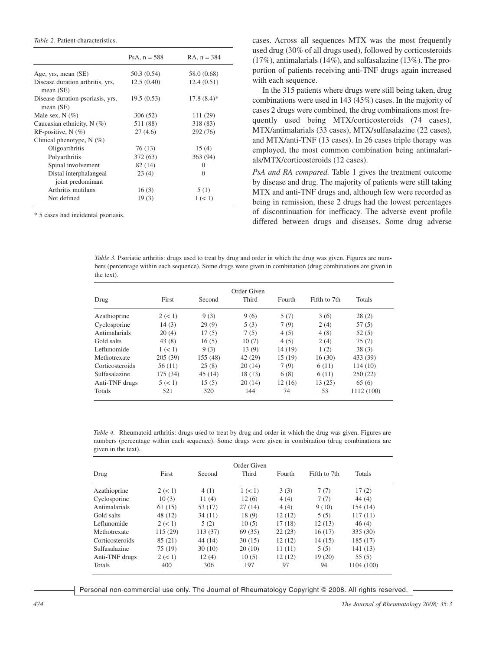*Table 2.* Patient characteristics.

|                                                 | PsA, $n = 588$ | $RA$ , $n = 384$ |
|-------------------------------------------------|----------------|------------------|
| Age, yrs, mean (SE)                             | 50.3 (0.54)    | 58.0 (0.68)      |
| Disease duration arthritis, yrs,<br>mean $(SE)$ | 12.5(0.40)     | 12.4(0.51)       |
| Disease duration psoriasis, yrs,<br>mean $(SE)$ | 19.5(0.53)     | $17.8(8.4)$ *    |
| Male sex, $N$ $(\%)$                            | 306 (52)       | 111 (29)         |
| Caucasian ethnicity, $N$ (%)                    | 511 (88)       | 318 (83)         |
| RF-positive, $N$ (%)                            | 27(4.6)        | 292 (76)         |
| Clinical phenotype, $N(\%)$                     |                |                  |
| Oligoarthritis                                  | 76 (13)        | 15(4)            |
| Polyarthritis                                   | 372 (63)       | 363 (94)         |
| Spinal involvement                              | 82(14)         | $\Omega$         |
| Distal interphalangeal<br>joint predominant     | 23(4)          | $\Omega$         |
| Arthritis mutilans                              | 16(3)          | 5(1)             |
| Not defined                                     | 19(3)          | 1 (< 1)          |

\* 5 cases had incidental psoriasis.

cases. Across all sequences MTX was the most frequently used drug (30% of all drugs used), followed by corticosteroids (17%), antimalarials (14%), and sulfasalazine (13%). The proportion of patients receiving anti-TNF drugs again increased with each sequence.

In the 315 patients where drugs were still being taken, drug combinations were used in 143 (45%) cases. In the majority of cases 2 drugs were combined, the drug combinations most frequently used being MTX/corticosteroids (74 cases), MTX/antimalarials (33 cases), MTX/sulfasalazine (22 cases), and MTX/anti-TNF (13 cases). In 26 cases triple therapy was employed, the most common combination being antimalarials/MTX/corticosteroids (12 cases).

*PsA and RA compared.* Table 1 gives the treatment outcome by disease and drug. The majority of patients were still taking MTX and anti-TNF drugs and, although few were recorded as being in remission, these 2 drugs had the lowest percentages of discontinuation for inefficacy. The adverse event profile differed between drugs and diseases. Some drug adverse

*Table* 3. Psoriatic arthritis: drugs used to treat by drug and order in which the drug was given. Figures are numbers (percentage within each sequence). Some drugs were given in combination (drug combinations are given in the text).

| Order Given     |          |          |         |         |              |            |  |  |
|-----------------|----------|----------|---------|---------|--------------|------------|--|--|
| Drug            | First    | Second   | Third   | Fourth  | Fifth to 7th | Totals     |  |  |
| Azathioprine    | 2 (< 1)  | 9(3)     | 9(6)    | 5(7)    | 3(6)         | 28(2)      |  |  |
| Cyclosporine    | 14(3)    | 29(9)    | 5(3)    | 7(9)    | 2(4)         | 57(5)      |  |  |
| Antimalarials   | 20(4)    | 17(5)    | 7(5)    | 4(5)    | 4(8)         | 52(5)      |  |  |
| Gold salts      | 43(8)    | 16(5)    | 10(7)   | 4(5)    | 2(4)         | 75(7)      |  |  |
| Leflunomide     | 1 (< 1)  | 9(3)     | 13(9)   | 14 (19) | 1(2)         | 38(3)      |  |  |
| Methotrexate    | 205(39)  | 155 (48) | 42 (29) | 15 (19) | 16(30)       | 433 (39)   |  |  |
| Corticosteroids | 56(11)   | 25(8)    | 20(14)  | 7(9)    | 6(11)        | 114(10)    |  |  |
| Sulfasalazine   | 175 (34) | 45(14)   | 18(13)  | 6(8)    | 6(11)        | 250(22)    |  |  |
| Anti-TNF drugs  | 5 (< 1)  | 15(5)    | 20(14)  | 12 (16) | 13(25)       | 65(6)      |  |  |
| Totals          | 521      | 320      | 144     | 74      | 53           | 1112 (100) |  |  |

*Table 4.* Rheumatoid arthritis: drugs used to treat by drug and order in which the drug was given. Figures are numbers (percentage within each sequence). Some drugs were given in combination (drug combinations are given in the text).

| Drug            | First   | Second  | Order Given<br>Third | Fourth  | Fifth to 7th | <b>Totals</b> |  |
|-----------------|---------|---------|----------------------|---------|--------------|---------------|--|
| Azathioprine    | 2 (< 1) | 4(1)    | 1 (< 1)              | 3(3)    | 7(7)         | 17(2)         |  |
| Cyclosporine    | 10(3)   | 11(4)   | 12(6)                | 4(4)    | 7(7)         | 44(4)         |  |
| Antimalarials   | 61(15)  | 53 (17) | 27(14)               | 4(4)    | 9(10)        | 154(14)       |  |
| Gold salts      | 48 (12) | 34(11)  | 18(9)                | 12(12)  | 5(5)         | 117(11)       |  |
| Leflunomide     | 2 (< 1) | 5(2)    | 10(5)                | 17 (18) | 12(13)       | 46(4)         |  |
| Methotrexate    | 115(29) | 113(37) | 69 (35)              | 22(23)  | 16(17)       | 335 (30)      |  |
| Corticosteroids | 85 (21) | 44 (14) | 30(15)               | 12(12)  | 14(15)       | 185 (17)      |  |
| Sulfasalazine   | 75 (19) | 30(10)  | 20(10)               | 11(11)  | 5(5)         | 141(13)       |  |
| Anti-TNF drugs  | 2 (< 1) | 12(4)   | 10(5)                | 12(12)  | 19(20)       | 55(5)         |  |
| Totals          | 400     | 306     | 197                  | 97      | 94           | 1104 (100)    |  |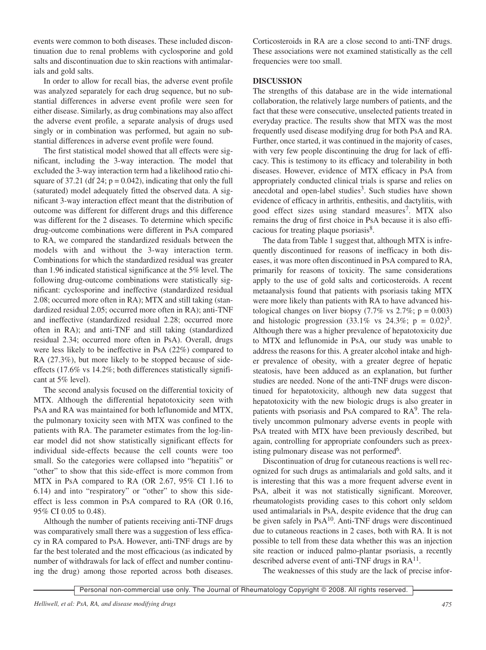events were common to both diseases. These included discontinuation due to renal problems with cyclosporine and gold salts and discontinuation due to skin reactions with antimalarials and gold salts.

In order to allow for recall bias, the adverse event profile was analyzed separately for each drug sequence, but no substantial differences in adverse event profile were seen for either disease. Similarly, as drug combinations may also affect the adverse event profile, a separate analysis of drugs used singly or in combination was performed, but again no substantial differences in adverse event profile were found.

The first statistical model showed that all effects were significant, including the 3-way interaction. The model that excluded the 3-way interaction term had a likelihood ratio chisquare of 37.21 (df 24;  $p = 0.042$ ), indicating that only the full (saturated) model adequately fitted the observed data. A significant 3-way interaction effect meant that the distribution of outcome was different for different drugs and this difference was different for the 2 diseases. To determine which specific drug-outcome combinations were different in PsA compared to RA, we compared the standardized residuals between the models with and without the 3-way interaction term. Combinations for which the standardized residual was greater than 1.96 indicated statistical significance at the 5% level. The following drug-outcome combinations were statistically significant: cyclosporine and ineffective (standardized residual 2.08; occurred more often in RA); MTX and still taking (standardized residual 2.05; occurred more often in RA); anti-TNF and ineffective (standardized residual 2.28; occurred more often in RA); and anti-TNF and still taking (standardized residual 2.34; occurred more often in PsA). Overall, drugs were less likely to be ineffective in PsA (22%) compared to RA (27.3%), but more likely to be stopped because of sideeffects (17.6% vs 14.2%; both differences statistically significant at 5% level).

The second analysis focused on the differential toxicity of MTX. Although the differential hepatotoxicity seen with PsA and RA was maintained for both leflunomide and MTX, the pulmonary toxicity seen with MTX was confined to the patients with RA. The parameter estimates from the log-linear model did not show statistically significant effects for individual side-effects because the cell counts were too small. So the categories were collapsed into "hepatitis" or "other" to show that this side-effect is more common from MTX in PsA compared to RA (OR 2.67, 95% CI 1.16 to 6.14) and into "respiratory" or "other" to show this sideeffect is less common in PsA compared to RA (OR 0.16, 95% CI 0.05 to 0.48).

Although the number of patients receiving anti-TNF drugs was comparatively small there was a suggestion of less efficacy in RA compared to PsA. However, anti-TNF drugs are by far the best tolerated and the most efficacious (as indicated by number of withdrawals for lack of effect and number continuing the drug) among those reported across both diseases. Corticosteroids in RA are a close second to anti-TNF drugs. These associations were not examined statistically as the cell frequencies were too small.

### **DISCUSSION**

The strengths of this database are in the wide international collaboration, the relatively large numbers of patients, and the fact that these were consecutive, unselected patients treated in everyday practice. The results show that MTX was the most frequently used disease modifying drug for both PsA and RA. Further, once started, it was continued in the majority of cases, with very few people discontinuing the drug for lack of efficacy. This is testimony to its efficacy and tolerability in both diseases. However, evidence of MTX efficacy in PsA from appropriately conducted clinical trials is sparse and relies on anecdotal and open-label studies<sup>3</sup>. Such studies have shown evidence of efficacy in arthritis, enthesitis, and dactylitis, with good effect sizes using standard measures<sup>7</sup>. MTX also remains the drug of first choice in PsA because it is also efficacious for treating plaque psoriasis<sup>8</sup>.

The data from Table 1 suggest that, although MTX is infrequently discontinued for reasons of inefficacy in both diseases, it was more often discontinued in PsA compared to RA, primarily for reasons of toxicity. The same considerations apply to the use of gold salts and corticosteroids. A recent metaanalysis found that patients with psoriasis taking MTX were more likely than patients with RA to have advanced histological changes on liver biopsy  $(7.7\% \text{ vs } 2.7\%; \text{ p} = 0.003)$ and histologic progression (33.1% vs 24.3%;  $p = 0.02$ )<sup>5</sup>. Although there was a higher prevalence of hepatotoxicity due to MTX and leflunomide in PsA, our study was unable to address the reasons for this. A greater alcohol intake and higher prevalence of obesity, with a greater degree of hepatic steatosis, have been adduced as an explanation, but further studies are needed. None of the anti-TNF drugs were discontinued for hepatotoxicity, although new data suggest that hepatotoxicity with the new biologic drugs is also greater in patients with psoriasis and PsA compared to RA<sup>9</sup>. The relatively uncommon pulmonary adverse events in people with PsA treated with MTX have been previously described, but again, controlling for appropriate confounders such as preexisting pulmonary disease was not performed<sup>6</sup>.

Discontinuation of drug for cutaneous reactions is well recognized for such drugs as antimalarials and gold salts, and it is interesting that this was a more frequent adverse event in PsA, albeit it was not statistically significant. Moreover, rheumatologists providing cases to this cohort only seldom used antimalarials in PsA, despite evidence that the drug can be given safely in PsA10. Anti-TNF drugs were discontinued due to cutaneous reactions in 2 cases, both with RA. It is not possible to tell from these data whether this was an injection site reaction or induced palmo-plantar psoriasis, a recently described adverse event of anti-TNF drugs in  $RA<sup>11</sup>$ .

The weaknesses of this study are the lack of precise infor-